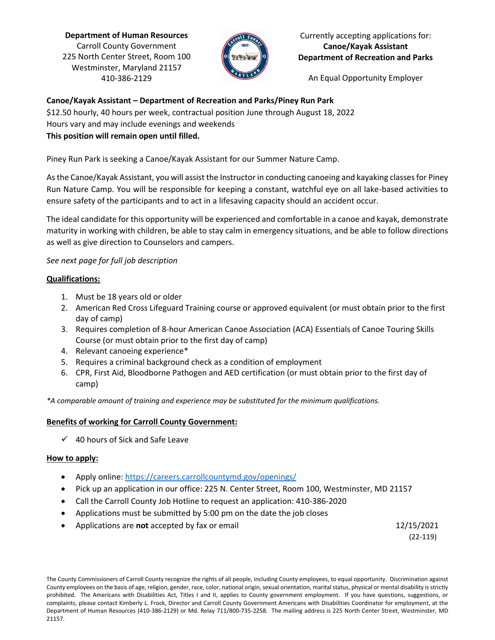**Department of Human Resources** Carroll County Government 225 North Center Street, Room 100 Westminster, Maryland 21157 410-386-2129



Currently accepting applications for: **Canoe/Kayak Assistant Department of Recreation and Parks**

An Equal Opportunity Employer

# **Canoe/Kayak Assistant – Department of Recreation and Parks/Piney Run Park**

\$12.50 hourly, 40 hours per week, contractual position June through August 18, 2022 Hours vary and may include evenings and weekends **This position will remain open until filled.**

Piney Run Park is seeking a Canoe/Kayak Assistant for our Summer Nature Camp.

As the Canoe/Kayak Assistant, you will assist the Instructor in conducting canoeing and kayaking classes for Piney Run Nature Camp. You will be responsible for keeping a constant, watchful eye on all lake-based activities to ensure safety of the participants and to act in a lifesaving capacity should an accident occur.

The ideal candidate for this opportunity will be experienced and comfortable in a canoe and kayak, demonstrate maturity in working with children, be able to stay calm in emergency situations, and be able to follow directions as well as give direction to Counselors and campers.

# *See next page for full job description*

# **Qualifications:**

- 1. Must be 18 years old or older
- 2. American Red Cross Lifeguard Training course or approved equivalent (or must obtain prior to the first day of camp)
- 3. Requires completion of 8-hour American Canoe Association (ACA) Essentials of Canoe Touring Skills Course (or must obtain prior to the first day of camp)
- 4. Relevant canoeing experience\*
- 5. Requires a criminal background check as a condition of employment
- 6. CPR, First Aid, Bloodborne Pathogen and AED certification (or must obtain prior to the first day of camp)

*\*A comparable amount of training and experience may be substituted for the minimum qualifications.*

# **Benefits of working for Carroll County Government:**

 $\checkmark$  40 hours of Sick and Safe Leave

# **How to apply:**

- Apply online:<https://careers.carrollcountymd.gov/openings/>
- Pick up an application in our office: 225 N. Center Street, Room 100, Westminster, MD 21157
- Call the Carroll County Job Hotline to request an application: 410-386-2020
- Applications must be submitted by 5:00 pm on the date the job closes
- Applications are **not** accepted by fax or email 12/15/2021

(22-119)

The County Commissioners of Carroll County recognize the rights of all people, including County employees, to equal opportunity. Discrimination against County employees on the basis of age, religion, gender, race, color, national origin, sexual orientation, marital status, physical or mental disability is strictly prohibited. The Americans with Disabilities Act, Titles I and II, applies to County government employment. If you have questions, suggestions, or complaints, please contact Kimberly L. Frock, Director and Carroll County Government Americans with Disabilities Coordinator for employment, at the Department of Human Resources (410-386-2129) or Md. Relay 711/800-735-2258. The mailing address is 225 North Center Street, Westminster, MD 21157.